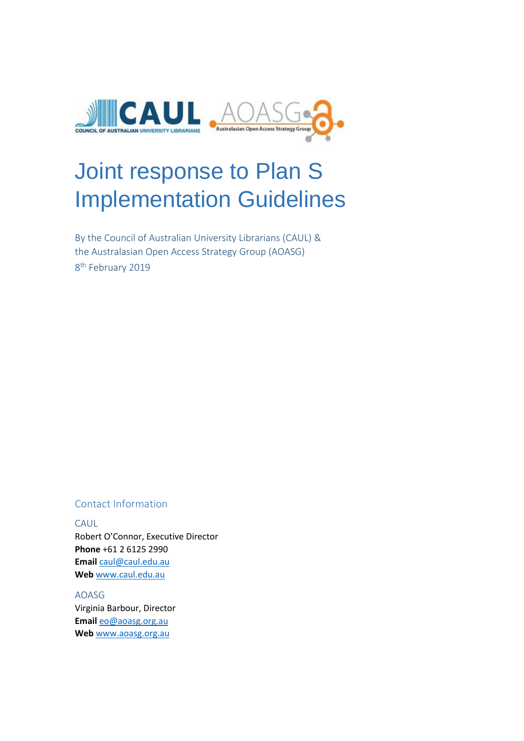

# Joint response to Plan S Implementation Guidelines

By the Council of Australian University Librarians (CAUL) & the Australasian Open Access Strategy Group (AOASG) 8<sup>th</sup> February 2019

#### Contact Information

CAUL Robert O'Connor, Executive Director **Phone** +61 2 6125 2990 **Email** [caul@caul.edu.au](mailto:caul@caul.edu.au) **Web** [www.caul.edu.au](http://www.caul.edu.au/)

AOASG Virginia Barbour, Director **Email** [eo@aoasg.org.au](mailto:eo@aoasg.org.au) **Web** [www.aoasg.org.au](http://www.aoasg.org.au/)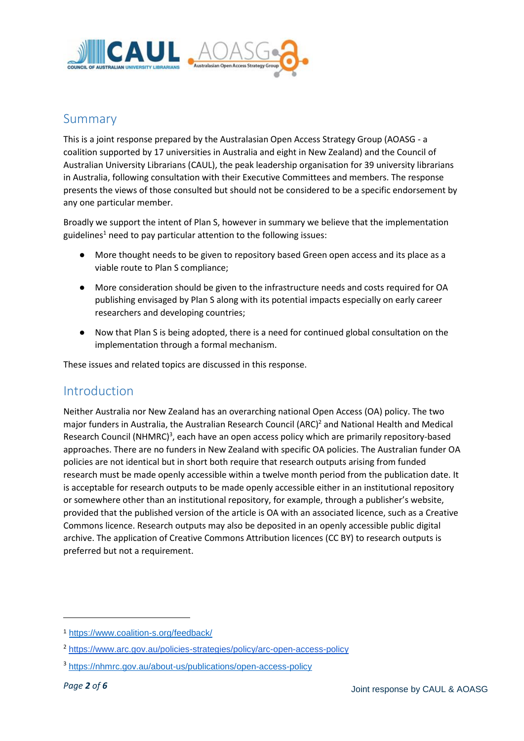

## Summary

This is a joint response prepared by the Australasian Open Access Strategy Group (AOASG - a coalition supported by 17 universities in Australia and eight in New Zealand) and the Council of Australian University Librarians (CAUL), the peak leadership organisation for 39 university librarians in Australia, following consultation with their Executive Committees and members. The response presents the views of those consulted but should not be considered to be a specific endorsement by any one particular member.

Broadly we support the intent of Plan S, however in summary we believe that the implementation guidelines<sup>1</sup> need to pay particular attention to the following issues:

- More thought needs to be given to repository based Green open access and its place as a viable route to Plan S compliance;
- More consideration should be given to the infrastructure needs and costs required for OA publishing envisaged by Plan S along with its potential impacts especially on early career researchers and developing countries;
- Now that Plan S is being adopted, there is a need for continued global consultation on the implementation through a formal mechanism.

These issues and related topics are discussed in this response.

## Introduction

Neither Australia nor New Zealand has an overarching national Open Access (OA) policy. The two major funders in Australia, the Australian Research Council (ARC)<sup>2</sup> and National Health and Medical Research Council (NHMRC)<sup>3</sup>, each have an open access policy which are primarily repository-based approaches. There are no funders in New Zealand with specific OA policies. The Australian funder OA policies are not identical but in short both require that research outputs arising from funded research must be made openly accessible within a twelve month period from the publication date. It is acceptable for research outputs to be made openly accessible either in an institutional repository or somewhere other than an institutional repository, for example, through a publisher's website, provided that the published version of the article is OA with an associated licence, such as a Creative Commons licence. Research outputs may also be deposited in an openly accessible public digital archive. The application of Creative Commons Attribution licences (CC BY) to research outputs is preferred but not a requirement.

1

<sup>1</sup> <https://www.coalition-s.org/feedback/>

<sup>2</sup> <https://www.arc.gov.au/policies-strategies/policy/arc-open-access-policy>

<sup>3</sup> <https://nhmrc.gov.au/about-us/publications/open-access-policy>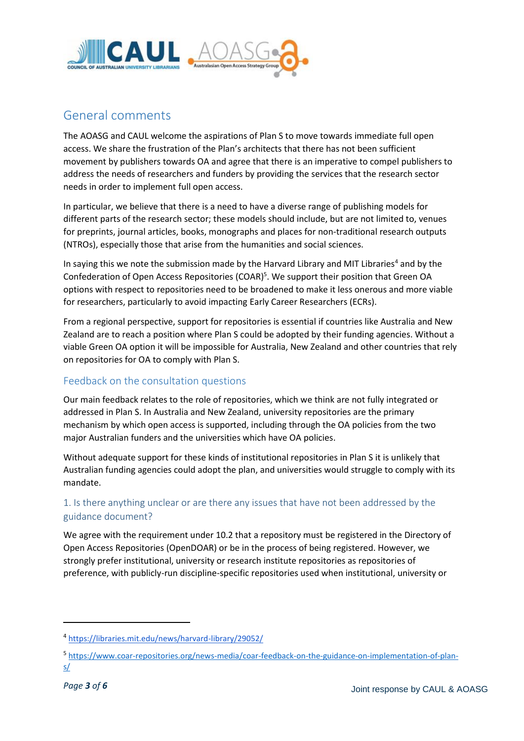

# General comments

The AOASG and CAUL welcome the aspirations of Plan S to move towards immediate full open access. We share the frustration of the Plan's architects that there has not been sufficient movement by publishers towards OA and agree that there is an imperative to compel publishers to address the needs of researchers and funders by providing the services that the research sector needs in order to implement full open access.

In particular, we believe that there is a need to have a diverse range of publishing models for different parts of the research sector; these models should include, but are not limited to, venues for preprints, journal articles, books, monographs and places for non-traditional research outputs (NTROs), especially those that arise from the humanities and social sciences.

In saying this we note the submission made by the Harvard Library and MIT Libraries<sup>4</sup> and by the Confederation of Open Access Repositories (COAR)<sup>5</sup>. We support their position that Green OA options with respect to repositories need to be broadened to make it less onerous and more viable for researchers, particularly to avoid impacting Early Career Researchers (ECRs).

From a regional perspective, support for repositories is essential if countries like Australia and New Zealand are to reach a position where Plan S could be adopted by their funding agencies. Without a viable Green OA option it will be impossible for Australia, New Zealand and other countries that rely on repositories for OA to comply with Plan S.

## Feedback on the consultation questions

Our main feedback relates to the role of repositories, which we think are not fully integrated or addressed in Plan S. In Australia and New Zealand, university repositories are the primary mechanism by which open access is supported, including through the OA policies from the two major Australian funders and the universities which have OA policies.

Without adequate support for these kinds of institutional repositories in Plan S it is unlikely that Australian funding agencies could adopt the plan, and universities would struggle to comply with its mandate.

## 1. Is there anything unclear or are there any issues that have not been addressed by the guidance document?

We agree with the requirement under 10.2 that a repository must be registered in the Directory of Open Access Repositories (OpenDOAR) or be in the process of being registered. However, we strongly prefer institutional, university or research institute repositories as repositories of preference, with publicly-run discipline-specific repositories used when institutional, university or

1

<sup>4</sup> <https://libraries.mit.edu/news/harvard-library/29052/>

<sup>5</sup> [https://www.coar-repositories.org/news-media/coar-feedback-on-the-guidance-on-implementation-of-plan](https://www.coar-repositories.org/news-media/coar-feedback-on-the-guidance-on-implementation-of-plan-s/)[s/](https://www.coar-repositories.org/news-media/coar-feedback-on-the-guidance-on-implementation-of-plan-s/)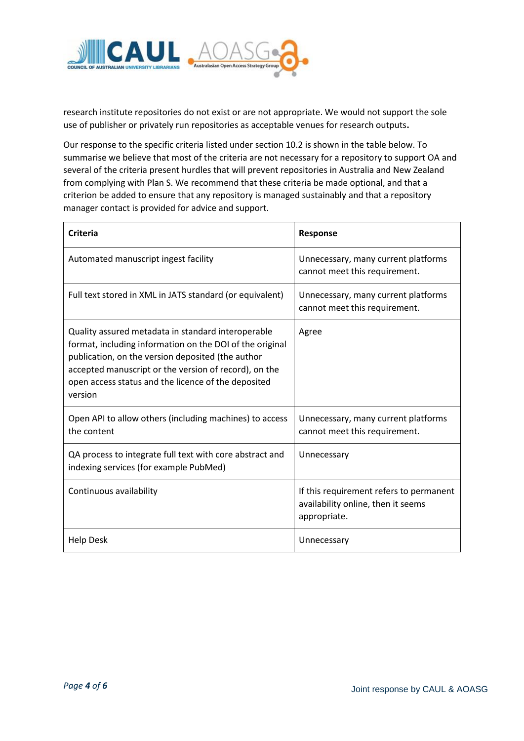

research institute repositories do not exist or are not appropriate. We would not support the sole use of publisher or privately run repositories as acceptable venues for research outputs**.**

Our response to the specific criteria listed under section 10.2 is shown in the table below. To summarise we believe that most of the criteria are not necessary for a repository to support OA and several of the criteria present hurdles that will prevent repositories in Australia and New Zealand from complying with Plan S. We recommend that these criteria be made optional, and that a criterion be added to ensure that any repository is managed sustainably and that a repository manager contact is provided for advice and support.

| <b>Criteria</b>                                                                                                                                                                                                                                                                                | <b>Response</b>                                                                               |
|------------------------------------------------------------------------------------------------------------------------------------------------------------------------------------------------------------------------------------------------------------------------------------------------|-----------------------------------------------------------------------------------------------|
| Automated manuscript ingest facility                                                                                                                                                                                                                                                           | Unnecessary, many current platforms<br>cannot meet this requirement.                          |
| Full text stored in XML in JATS standard (or equivalent)                                                                                                                                                                                                                                       | Unnecessary, many current platforms<br>cannot meet this requirement.                          |
| Quality assured metadata in standard interoperable<br>format, including information on the DOI of the original<br>publication, on the version deposited (the author<br>accepted manuscript or the version of record), on the<br>open access status and the licence of the deposited<br>version | Agree                                                                                         |
| Open API to allow others (including machines) to access<br>the content                                                                                                                                                                                                                         | Unnecessary, many current platforms<br>cannot meet this requirement.                          |
| QA process to integrate full text with core abstract and<br>indexing services (for example PubMed)                                                                                                                                                                                             | Unnecessary                                                                                   |
| Continuous availability                                                                                                                                                                                                                                                                        | If this requirement refers to permanent<br>availability online, then it seems<br>appropriate. |
| <b>Help Desk</b>                                                                                                                                                                                                                                                                               | Unnecessary                                                                                   |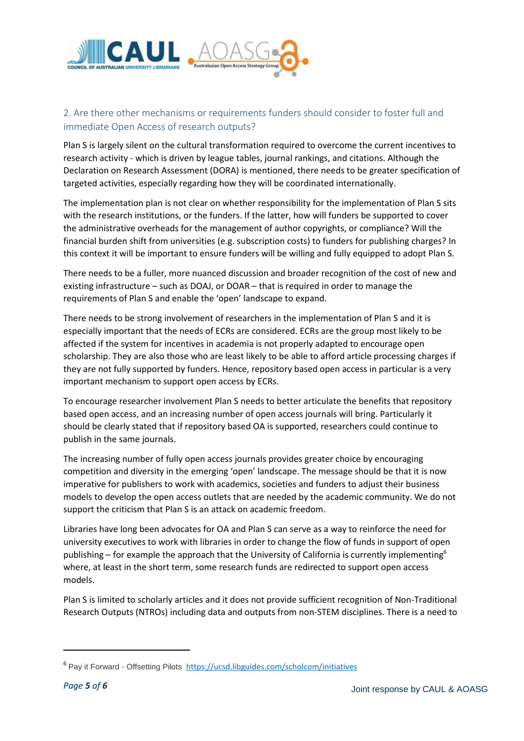

## 2. Are there other mechanisms or requirements funders should consider to foster full and immediate Open Access of research outputs?

Plan S is largely silent on the cultural transformation required to overcome the current incentives to research activity - which is driven by league tables, journal rankings, and citations. Although the Declaration on Research Assessment (DORA) is mentioned, there needs to be greater specification of targeted activities, especially regarding how they will be coordinated internationally.

The implementation plan is not clear on whether responsibility for the implementation of Plan S sits with the research institutions, or the funders. If the latter, how will funders be supported to cover the administrative overheads for the management of author copyrights, or compliance? Will the financial burden shift from universities (e.g. subscription costs) to funders for publishing charges? In this context it will be important to ensure funders will be willing and fully equipped to adopt Plan S.

There needs to be a fuller, more nuanced discussion and broader recognition of the cost of new and existing infrastructure – such as DOAJ, or DOAR – that is required in order to manage the requirements of Plan S and enable the 'open' landscape to expand.

There needs to be strong involvement of researchers in the implementation of Plan S and it is especially important that the needs of ECRs are considered. ECRs are the group most likely to be affected if the system for incentives in academia is not properly adapted to encourage open scholarship. They are also those who are least likely to be able to afford article processing charges if they are not fully supported by funders. Hence, repository based open access in particular is a very important mechanism to support open access by ECRs.

To encourage researcher involvement Plan S needs to better articulate the benefits that repository based open access, and an increasing number of open access journals will bring. Particularly it should be clearly stated that if repository based OA is supported, researchers could continue to publish in the same journals.

The increasing number of fully open access journals provides greater choice by encouraging competition and diversity in the emerging 'open' landscape. The message should be that it is now imperative for publishers to work with academics, societies and funders to adjust their business models to develop the open access outlets that are needed by the academic community. We do not support the criticism that Plan S is an attack on academic freedom.

Libraries have long been advocates for OA and Plan S can serve as a way to reinforce the need for university executives to work with libraries in order to change the flow of funds in support of open publishing – for example the approach that the University of California is currently implementing<sup>6</sup> where, at least in the short term, some research funds are redirected to support open access models.

Plan S is limited to scholarly articles and it does not provide sufficient recognition of Non-Traditional Research Outputs (NTROs) including data and outputs from non-STEM disciplines. There is a need to

**.** 

<sup>6</sup> Pay it Forward - Offsetting Pilots <https://ucsd.libguides.com/scholcom/initiatives>